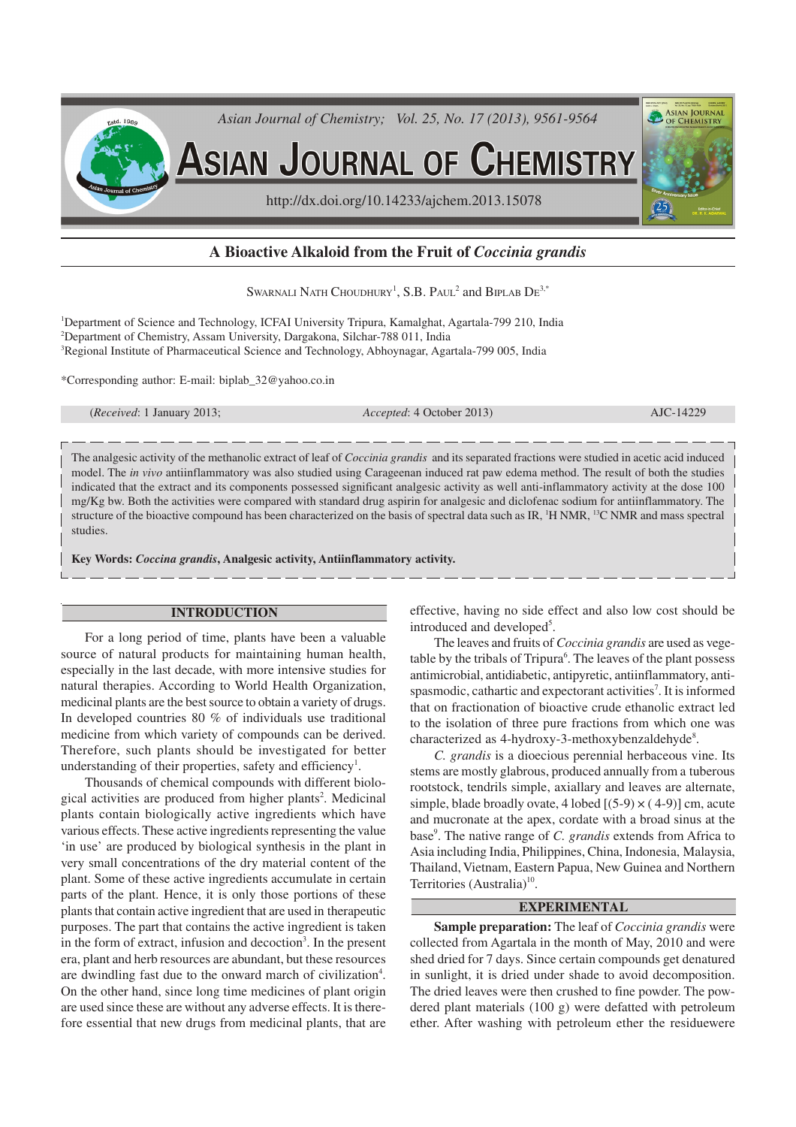

# **A Bioactive Alkaloid from the Fruit of** *Coccinia grandis*

SWARNALI NATH CHOUDHURY<sup>1</sup>, S.B. PAUL<sup>2</sup> and BIPLAB  $\mathrm{D} \mathrm{E}^{3,*}$ 

<sup>1</sup>Department of Science and Technology, ICFAI University Tripura, Kamalghat, Agartala-799 210, India <sup>2</sup>Department of Chemistry, Assam University, Dargakona, Silchar-788 011, India <sup>3</sup>Regional Institute of Pharmaceutical Science and Technology, Abhoynagar, Agartala-799 005, India

\*Corresponding author: E-mail: biplab\_32@yahoo.co.in

(*Received*: 1 January 2013; *Accepted*: 4 October 2013) AJC-14229

The analgesic activity of the methanolic extract of leaf of *Coccinia grandis* and its separated fractions were studied in acetic acid induced model. The *in vivo* antiinflammatory was also studied using Carageenan induced rat paw edema method. The result of both the studies indicated that the extract and its components possessed significant analgesic activity as well anti-inflammatory activity at the dose 100 mg/Kg bw. Both the activities were compared with standard drug aspirin for analgesic and diclofenac sodium for antiinflammatory. The structure of the bioactive compound has been characterized on the basis of spectral data such as IR, <sup>1</sup>H NMR, <sup>13</sup>C NMR and mass spectral studies.

**Key Words:** *Coccina grandis***, Analgesic activity, Antiinflammatory activity.**

## **INTRODUCTION**

For a long period of time, plants have been a valuable source of natural products for maintaining human health, especially in the last decade, with more intensive studies for natural therapies. According to World Health Organization, medicinal plants are the best source to obtain a variety of drugs. In developed countries 80 % of individuals use traditional medicine from which variety of compounds can be derived. Therefore, such plants should be investigated for better understanding of their properties, safety and efficiency<sup>1</sup>.

Thousands of chemical compounds with different biological activities are produced from higher plants<sup>2</sup>. Medicinal plants contain biologically active ingredients which have various effects. These active ingredients representing the value 'in use' are produced by biological synthesis in the plant in very small concentrations of the dry material content of the plant. Some of these active ingredients accumulate in certain parts of the plant. Hence, it is only those portions of these plants that contain active ingredient that are used in therapeutic purposes. The part that contains the active ingredient is taken in the form of extract, infusion and decoction<sup>3</sup>. In the present era, plant and herb resources are abundant, but these resources are dwindling fast due to the onward march of civilization<sup>4</sup>. On the other hand, since long time medicines of plant origin are used since these are without any adverse effects. It is therefore essential that new drugs from medicinal plants, that are

effective, having no side effect and also low cost should be introduced and developed<sup>5</sup>.

The leaves and fruits of *Coccinia grandis* are used as vegetable by the tribals of Tripura 6 . The leaves of the plant possess antimicrobial, antidiabetic, antipyretic, antiinflammatory, antispasmodic, cathartic and expectorant activities<sup>7</sup>. It is informed that on fractionation of bioactive crude ethanolic extract led to the isolation of three pure fractions from which one was characterized as 4-hydroxy-3-methoxybenzaldehyde8.

*C. grandis* is a dioecious perennial herbaceous vine. Its stems are mostly glabrous, produced annually from a tuberous rootstock, tendrils simple, axiallary and leaves are alternate, simple, blade broadly ovate, 4 lobed  $[(5-9) \times (4-9)]$  cm, acute and mucronate at the apex, cordate with a broad sinus at the base<sup>9</sup>. The native range of *C. grandis* extends from Africa to Asia including India, Philippines, China, Indonesia, Malaysia, Thailand, Vietnam, Eastern Papua, New Guinea and Northern Territories (Australia)<sup>10</sup>.

## **EXPERIMENTAL**

**Sample preparation:** The leaf of *Coccinia grandis* were collected from Agartala in the month of May, 2010 and were shed dried for 7 days. Since certain compounds get denatured in sunlight, it is dried under shade to avoid decomposition. The dried leaves were then crushed to fine powder. The powdered plant materials (100 g) were defatted with petroleum ether. After washing with petroleum ether the residuewere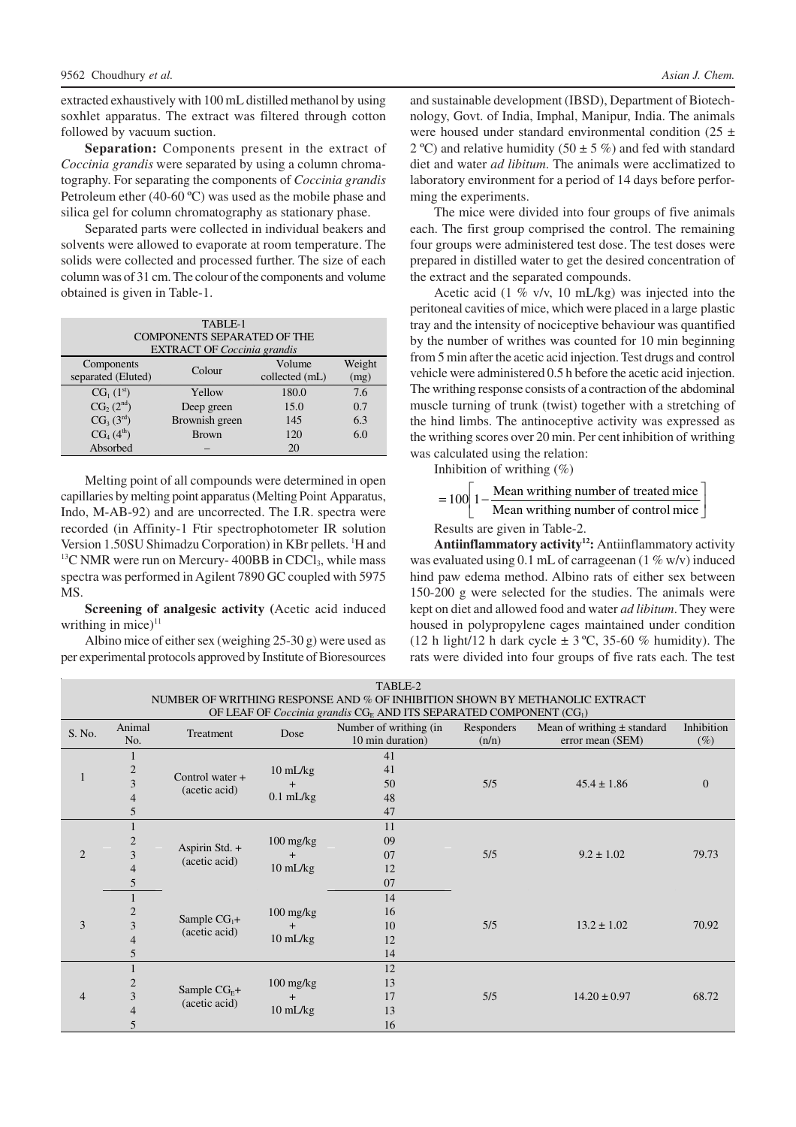extracted exhaustively with 100 mL distilled methanol by using soxhlet apparatus. The extract was filtered through cotton followed by vacuum suction.

**Separation:** Components present in the extract of *Coccinia grandis* were separated by using a column chromatography. For separating the components of *Coccinia grandis* Petroleum ether (40-60 ºC) was used as the mobile phase and silica gel for column chromatography as stationary phase.

Separated parts were collected in individual beakers and solvents were allowed to evaporate at room temperature. The solids were collected and processed further. The size of each column was of 31 cm. The colour of the components and volume obtained is given in Table-1.

|                                    | TABLE-1                            |        |  |  |
|------------------------------------|------------------------------------|--------|--|--|
|                                    | <b>COMPONENTS SEPARATED OF THE</b> |        |  |  |
| <b>EXTRACT OF Coccinia grandis</b> |                                    |        |  |  |
| Components                         | $C_{\alpha}$ l $\alpha$            | Volume |  |  |

| Components         | Colour         | Volume         | Weight |
|--------------------|----------------|----------------|--------|
| separated (Eluted) |                | collected (mL) | (mg)   |
| $CG_{1} (1^{st})$  | Yellow         | 180.0          | 7.6    |
| $CG_{2}(2^{nd})$   | Deep green     | 15.0           | 0.7    |
| $CG_{3}(3^{rd})$   | Brownish green | 145            | 6.3    |
| $CG_{4}(4^{th})$   | <b>Brown</b>   | 120            | 6.0    |
| Absorbed           |                | 20             |        |

Melting point of all compounds were determined in open capillaries by melting point apparatus (Melting Point Apparatus, Indo, M-AB-92) and are uncorrected. The I.R. spectra were recorded (in Affinity-1 Ftir spectrophotometer IR solution Version 1.50SU Shimadzu Corporation) in KBr pellets. <sup>1</sup>H and  $13$ C NMR were run on Mercury- 400BB in CDCl<sub>3</sub>, while mass spectra was performed in Agilent 7890 GC coupled with 5975 MS.

**Screening of analgesic activity (**Acetic acid induced writhing in mice) $11$ 

Albino mice of either sex (weighing 25-30 g) were used as per experimental protocols approved by Institute of Bioresources

and sustainable development (IBSD), Department of Biotechnology, Govt. of India, Imphal, Manipur, India. The animals were housed under standard environmental condition (25  $\pm$ 2 °C) and relative humidity (50  $\pm$  5 %) and fed with standard diet and water *ad libitum*. The animals were acclimatized to laboratory environment for a period of 14 days before performing the experiments.

The mice were divided into four groups of five animals each. The first group comprised the control. The remaining four groups were administered test dose. The test doses were prepared in distilled water to get the desired concentration of the extract and the separated compounds.

Acetic acid (1 % v/v, 10 mL/kg) was injected into the peritoneal cavities of mice, which were placed in a large plastic tray and the intensity of nociceptive behaviour was quantified by the number of writhes was counted for 10 min beginning from 5 min after the acetic acid injection. Test drugs and control vehicle were administered 0.5 h before the acetic acid injection. The writhing response consists of a contraction of the abdominal muscle turning of trunk (twist) together with a stretching of the hind limbs. The antinoceptive activity was expressed as the writhing scores over 20 min. Per cent inhibition of writhing was calculated using the relation:

Inhibition of writhing  $(\%)$ 

 $\rfloor$ 1 l  $= 100 \left[ 1 - \right]$  $100 \bigg| 1 - \frac{\text{Mean writing number of treated mice}}{\text{Mean writing number of control mice}}$ 

Results are given in Table-2.

**Antiinflammatory activity<sup>12</sup>:** Antiinflammatory activity was evaluated using 0.1 mL of carrageenan (1 % w/v) induced hind paw edema method. Albino rats of either sex between 150-200 g were selected for the studies. The animals were kept on diet and allowed food and water *ad libitum*. They were housed in polypropylene cages maintained under condition (12 h light/12 h dark cycle  $\pm$  3 °C, 35-60 % humidity). The rats were divided into four groups of five rats each. The test

| TABLE-2                                                                     |                |                    |                                   |                        |            |                                 |              |  |
|-----------------------------------------------------------------------------|----------------|--------------------|-----------------------------------|------------------------|------------|---------------------------------|--------------|--|
| NUMBER OF WRITHING RESPONSE AND % OF INHIBITION SHOWN BY METHANOLIC EXTRACT |                |                    |                                   |                        |            |                                 |              |  |
| OF LEAF OF Coccinia grandis CGE AND ITS SEPARATED COMPONENT (CG1)           |                |                    |                                   |                        |            |                                 |              |  |
| Animal<br>S. No.                                                            |                | Treatment          | Dose                              | Number of writhing (in | Responders | Mean of writhing $\pm$ standard | Inhibition   |  |
|                                                                             | No.            |                    |                                   | 10 min duration)       | (n/n)      | error mean (SEM)                | $(\%)$       |  |
|                                                                             |                |                    |                                   | 41                     |            |                                 |              |  |
| 1                                                                           | $\mathbf{2}$   | Control water $+$  | $10 \text{ mL/kg}$                | 41                     |            |                                 |              |  |
|                                                                             | 3              | (acetic acid)      | $\overline{+}$                    | 50                     | 5/5        | $45.4 \pm 1.86$                 | $\mathbf{0}$ |  |
|                                                                             | $\overline{4}$ |                    | $0.1$ mL/kg                       | 48                     |            |                                 |              |  |
|                                                                             | 5              |                    |                                   | 47                     |            |                                 |              |  |
|                                                                             |                |                    |                                   | 11                     |            |                                 |              |  |
|                                                                             | $\overline{2}$ |                    | $100 \frac{\text{mg}}{\text{kg}}$ | 09                     |            |                                 |              |  |
| $\overline{2}$                                                              | 3              | Aspirin Std. +     | $^{+}$                            | 07                     | 5/5        | $9.2 \pm 1.02$                  | 79.73        |  |
|                                                                             | $\overline{4}$ | (acetic acid)      | $10 \text{ mL/kg}$                | 12                     |            |                                 |              |  |
|                                                                             | 5              |                    |                                   | 07                     |            |                                 |              |  |
|                                                                             |                |                    |                                   | 14                     |            |                                 |              |  |
|                                                                             | $\overline{2}$ |                    | $100$ mg/kg                       | 16                     |            |                                 |              |  |
| 3                                                                           | 3              | Sample $CG_1+$     | $\ddot{}$                         | 10                     | 5/5        | $13.2 \pm 1.02$                 | 70.92        |  |
| $\overline{4}$                                                              | (acetic acid)  | $10 \text{ mL/kg}$ | 12                                |                        |            |                                 |              |  |
|                                                                             | 5              |                    | 14                                |                        |            |                                 |              |  |
| $\overline{2}$<br>4                                                         |                |                    |                                   | 12                     |            |                                 |              |  |
|                                                                             |                |                    | $100 \frac{\text{mg}}{\text{kg}}$ | 13                     | 5/5        | $14.20 \pm 0.97$                | 68.72        |  |
|                                                                             | 3              | Sample $CGF$ +     | $^{+}$                            | 17                     |            |                                 |              |  |
|                                                                             | 4              | (acetic acid)      | 10 mL/kg                          | 13                     |            |                                 |              |  |
| 5                                                                           |                |                    |                                   | 16                     |            |                                 |              |  |

Weight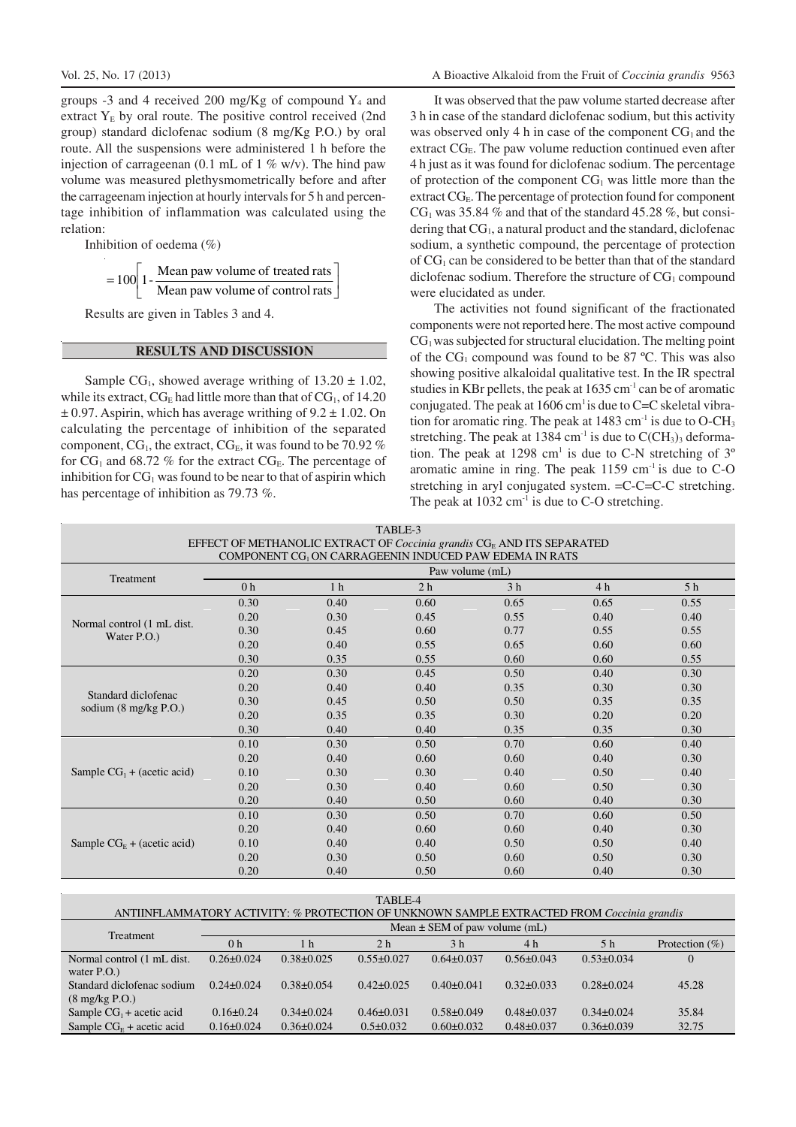groups -3 and 4 received 200 mg/Kg of compound  $Y_4$  and extract  $Y<sub>E</sub>$  by oral route. The positive control received (2nd group) standard diclofenac sodium (8 mg/Kg P.O.) by oral route. All the suspensions were administered 1 h before the injection of carrageenan (0.1 mL of 1  $\%$  w/v). The hind paw volume was measured plethysmometrically before and after the carrageenam injection at hourly intervals for 5 h and percentage inhibition of inflammation was calculated using the relation:

Inhibition of oedema (%)

$$
= 100 \left[ 1 - \frac{\text{Mean paw volume of treated rats}}{\text{Mean paw volume of control rats}} \right]
$$

Results are given in Tables 3 and 4.

### **RESULTS AND DISCUSSION**

Sample CG<sub>1</sub>, showed average writhing of  $13.20 \pm 1.02$ , while its extract,  $CG_E$  had little more than that of  $CG_I$ , of 14.20  $\pm$  0.97. Aspirin, which has average writhing of 9.2  $\pm$  1.02. On calculating the percentage of inhibition of the separated component,  $CG<sub>1</sub>$ , the extract,  $CG<sub>E</sub>$ , it was found to be 70.92 % for  $CG<sub>1</sub>$  and 68.72 % for the extract  $CG<sub>E</sub>$ . The percentage of inhibition for  $CG<sub>1</sub>$  was found to be near to that of aspirin which has percentage of inhibition as 79.73 %.

It was observed that the paw volume started decrease after 3 h in case of the standard diclofenac sodium, but this activity was observed only 4 h in case of the component  $CG<sub>1</sub>$  and the extract  $CG_E$ . The paw volume reduction continued even after 4 h just as it was found for diclofenac sodium. The percentage of protection of the component  $CG<sub>1</sub>$  was little more than the extract CG<sub>E</sub>. The percentage of protection found for component  $CG<sub>1</sub>$  was 35.84 % and that of the standard 45.28 %, but considering that  $CG<sub>1</sub>$ , a natural product and the standard, diclofenac sodium, a synthetic compound, the percentage of protection of CG1 can be considered to be better than that of the standard diclofenac sodium. Therefore the structure of  $CG<sub>1</sub>$  compound were elucidated as under.

The activities not found significant of the fractionated components were not reported here. The most active compound  $CG<sub>1</sub>$  was subjected for structural elucidation. The melting point of the  $CG<sub>1</sub>$  compound was found to be 87 °C. This was also showing positive alkaloidal qualitative test. In the IR spectral studies in KBr pellets, the peak at  $1635 \text{ cm}^{-1}$  can be of aromatic conjugated. The peak at  $1606 \text{ cm}^1$  is due to C=C skeletal vibration for aromatic ring. The peak at  $1483 \text{ cm}^{-1}$  is due to O-CH<sub>3</sub> stretching. The peak at 1384 cm<sup>-1</sup> is due to  $C(CH_3)$ <sub>3</sub> deformation. The peak at 1298 cm<sup>1</sup> is due to C-N stretching of  $3^{\circ}$ aromatic amine in ring. The peak  $1159 \text{ cm}^{-1}$  is due to C-O stretching in aryl conjugated system. =C-C=C-C stretching. The peak at  $1032 \text{ cm}^{-1}$  is due to C-O stretching.

| EFFECT OF METHANOLIC EXTRACT OF Coccinia grandis $CGF$ AND ITS SEPARATED |                 |                |                |                |      |      |  |
|--------------------------------------------------------------------------|-----------------|----------------|----------------|----------------|------|------|--|
| COMPONENT CG <sub>1</sub> ON CARRAGEENIN INDUCED PAW EDEMA IN RATS       |                 |                |                |                |      |      |  |
| Treatment                                                                | Paw volume (mL) |                |                |                |      |      |  |
|                                                                          | 0 <sub>h</sub>  | 1 <sub>h</sub> | 2 <sub>h</sub> | 3 <sub>h</sub> | 4 h  | 5 h  |  |
|                                                                          | 0.30            | 0.40           | 0.60           | 0.65           | 0.65 | 0.55 |  |
| Normal control (1 mL dist.                                               | 0.20            | 0.30           | 0.45           | 0.55           | 0.40 | 0.40 |  |
| Water P.O.                                                               | 0.30            | 0.45           | 0.60           | 0.77           | 0.55 | 0.55 |  |
|                                                                          | 0.20            | 0.40           | 0.55           | 0.65           | 0.60 | 0.60 |  |
|                                                                          | 0.30            | 0.35           | 0.55           | 0.60           | 0.60 | 0.55 |  |
|                                                                          | 0.20            | 0.30           | 0.45           | 0.50           | 0.40 | 0.30 |  |
| Standard diclofenac                                                      | 0.20            | 0.40           | 0.40           | 0.35           | 0.30 | 0.30 |  |
| sodium $(8 \text{ mg/kg} \text{ P.O.})$                                  | 0.30            | 0.45           | 0.50           | 0.50           | 0.35 | 0.35 |  |
|                                                                          | 0.20            | 0.35           | 0.35           | 0.30           | 0.20 | 0.20 |  |
|                                                                          | 0.30            | 0.40           | 0.40           | 0.35           | 0.35 | 0.30 |  |
|                                                                          | 0.10            | 0.30           | 0.50           | 0.70           | 0.60 | 0.40 |  |
|                                                                          | 0.20            | 0.40           | 0.60           | 0.60           | 0.40 | 0.30 |  |
| Sample $CG1 + (acetic acid)$                                             | 0.10            | 0.30           | 0.30           | 0.40           | 0.50 | 0.40 |  |
|                                                                          | 0.20            | 0.30           | 0.40           | 0.60           | 0.50 | 0.30 |  |
|                                                                          | 0.20            | 0.40           | 0.50           | 0.60           | 0.40 | 0.30 |  |
|                                                                          | 0.10            | 0.30           | 0.50           | 0.70           | 0.60 | 0.50 |  |
|                                                                          | 0.20            | 0.40           | 0.60           | 0.60           | 0.40 | 0.30 |  |
| Sample $CGE + (acetic acid)$                                             | 0.10            | 0.40           | 0.40           | 0.50           | 0.50 | 0.40 |  |
|                                                                          | 0.20            | 0.30           | 0.50           | 0.60           | 0.50 | 0.30 |  |
|                                                                          | 0.20            | 0.40           | 0.50           | 0.60           | 0.40 | 0.30 |  |

| TABLE-3                                                                            |
|------------------------------------------------------------------------------------|
| EFFECT OF METHANOLIC EXTRACT OF Coccinia grandis CG <sub>F</sub> AND ITS SEPARATED |
| COMPONENT CC, ON CARRAGEENIN INDUCED PAW EDEMA IN RATS                             |

| TABLE-4<br>ANTIINFLAMMATORY ACTIVITY: % PROTECTION OF UNKNOWN SAMPLE EXTRACTED FROM Coccinia grandis |                                   |                  |                  |                  |                  |                  |                   |
|------------------------------------------------------------------------------------------------------|-----------------------------------|------------------|------------------|------------------|------------------|------------------|-------------------|
| <b>Treatment</b>                                                                                     | Mean $\pm$ SEM of paw volume (mL) |                  |                  |                  |                  |                  |                   |
|                                                                                                      | 0 <sub>h</sub>                    | 1 <sub>h</sub>   | 2 <sub>h</sub>   | 3 <sub>h</sub>   | 4 h              | 5 <sub>h</sub>   | Protection $(\%)$ |
| Normal control (1 mL dist.<br>water $P.O.$ )                                                         | $0.26 \pm 0.024$                  | $0.38 \pm 0.025$ | $0.55 \pm 0.027$ | $0.64\pm0.037$   | $0.56 \pm 0.043$ | $0.53 \pm 0.034$ | $\Omega$          |
| Standard diclofenac sodium<br>$(8 \text{ mg/kg} \text{ P.O.})$                                       | $0.24 \pm 0.024$                  | $0.38 \pm 0.054$ | $0.42 \pm 0.025$ | $0.40 \pm 0.041$ | $0.32 \pm 0.033$ | $0.28 \pm 0.024$ | 45.28             |
| Sample $CG_1 +$ acetic acid                                                                          | $0.16 \pm 0.24$                   | $0.34\pm0.024$   | $0.46 \pm 0.031$ | $0.58 \pm 0.049$ | $0.48 \pm 0.037$ | $0.34\pm0.024$   | 35.84             |
| Sample $CGF + acetic acid$                                                                           | $0.16\pm0.024$                    | $0.36 \pm 0.024$ | $0.5 \pm 0.032$  | $0.60 \pm 0.032$ | $0.48 \pm 0.037$ | $0.36 \pm 0.039$ | 32.75             |